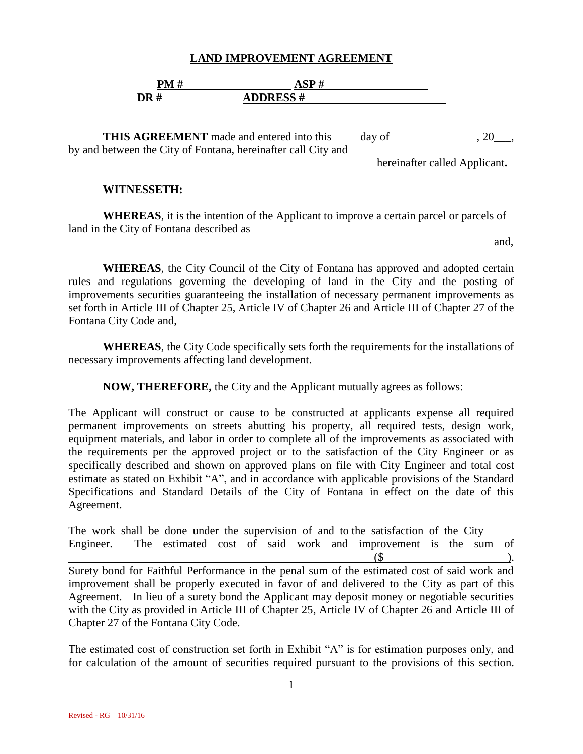#### **LAND IMPROVEMENT AGREEMENT**

|                   | <b>DM</b> |                 |
|-------------------|-----------|-----------------|
| $\overline{DR}$ # |           | <b>ADDRESS#</b> |

**THIS AGREEMENT** made and entered into this day of , 20 , by and between the City of Fontana, hereinafter call City and

hereinafter called Applicant**.**

#### **WITNESSETH:**

**WHEREAS**, it is the intention of the Applicant to improve a certain parcel or parcels of land in the City of Fontana described as

and,

**WHEREAS**, the City Council of the City of Fontana has approved and adopted certain rules and regulations governing the developing of land in the City and the posting of improvements securities guaranteeing the installation of necessary permanent improvements as set forth in Article III of Chapter 25, Article IV of Chapter 26 and Article III of Chapter 27 of the Fontana City Code and,

**WHEREAS**, the City Code specifically sets forth the requirements for the installations of necessary improvements affecting land development.

**NOW, THEREFORE,** the City and the Applicant mutually agrees as follows:

The Applicant will construct or cause to be constructed at applicants expense all required permanent improvements on streets abutting his property, all required tests, design work, equipment materials, and labor in order to complete all of the improvements as associated with the requirements per the approved project or to the satisfaction of the City Engineer or as specifically described and shown on approved plans on file with City Engineer and total cost estimate as stated on Exhibit "A", and in accordance with applicable provisions of the Standard Specifications and Standard Details of the City of Fontana in effect on the date of this Agreement.

The work shall be done under the supervision of and to the satisfaction of the City Engineer. The estimated cost of said work and improvement is the sum of  $(\$\)$ . Surety bond for Faithful Performance in the penal sum of the estimated cost of said work and improvement shall be properly executed in favor of and delivered to the City as part of this Agreement. In lieu of a surety bond the Applicant may deposit money or negotiable securities with the City as provided in Article III of Chapter 25, Article IV of Chapter 26 and Article III of Chapter 27 of the Fontana City Code.

The estimated cost of construction set forth in Exhibit "A" is for estimation purposes only, and for calculation of the amount of securities required pursuant to the provisions of this section.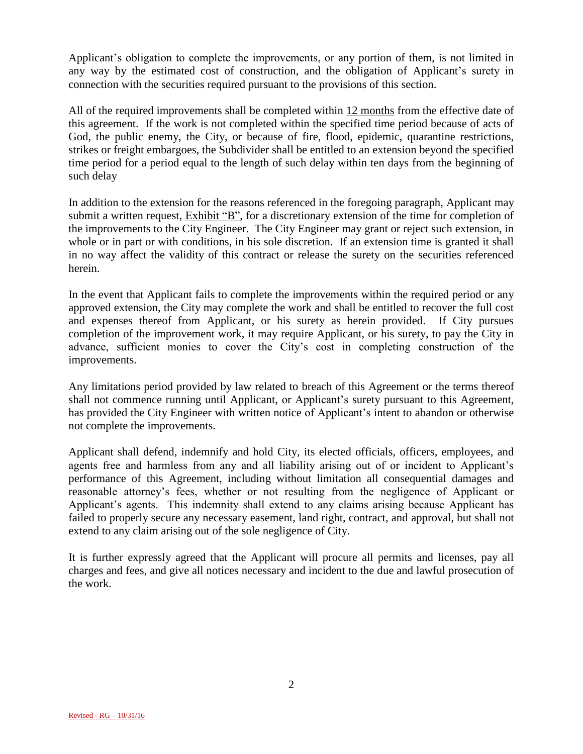Applicant's obligation to complete the improvements, or any portion of them, is not limited in any way by the estimated cost of construction, and the obligation of Applicant's surety in connection with the securities required pursuant to the provisions of this section.

All of the required improvements shall be completed within 12 months from the effective date of this agreement. If the work is not completed within the specified time period because of acts of God, the public enemy, the City, or because of fire, flood, epidemic, quarantine restrictions, strikes or freight embargoes, the Subdivider shall be entitled to an extension beyond the specified time period for a period equal to the length of such delay within ten days from the beginning of such delay

In addition to the extension for the reasons referenced in the foregoing paragraph, Applicant may submit a written request, Exhibit "B", for a discretionary extension of the time for completion of the improvements to the City Engineer. The City Engineer may grant or reject such extension, in whole or in part or with conditions, in his sole discretion. If an extension time is granted it shall in no way affect the validity of this contract or release the surety on the securities referenced herein.

In the event that Applicant fails to complete the improvements within the required period or any approved extension, the City may complete the work and shall be entitled to recover the full cost and expenses thereof from Applicant, or his surety as herein provided. If City pursues completion of the improvement work, it may require Applicant, or his surety, to pay the City in advance, sufficient monies to cover the City's cost in completing construction of the improvements.

Any limitations period provided by law related to breach of this Agreement or the terms thereof shall not commence running until Applicant, or Applicant's surety pursuant to this Agreement, has provided the City Engineer with written notice of Applicant's intent to abandon or otherwise not complete the improvements.

Applicant shall defend, indemnify and hold City, its elected officials, officers, employees, and agents free and harmless from any and all liability arising out of or incident to Applicant's performance of this Agreement, including without limitation all consequential damages and reasonable attorney's fees, whether or not resulting from the negligence of Applicant or Applicant's agents. This indemnity shall extend to any claims arising because Applicant has failed to properly secure any necessary easement, land right, contract, and approval, but shall not extend to any claim arising out of the sole negligence of City.

It is further expressly agreed that the Applicant will procure all permits and licenses, pay all charges and fees, and give all notices necessary and incident to the due and lawful prosecution of the work.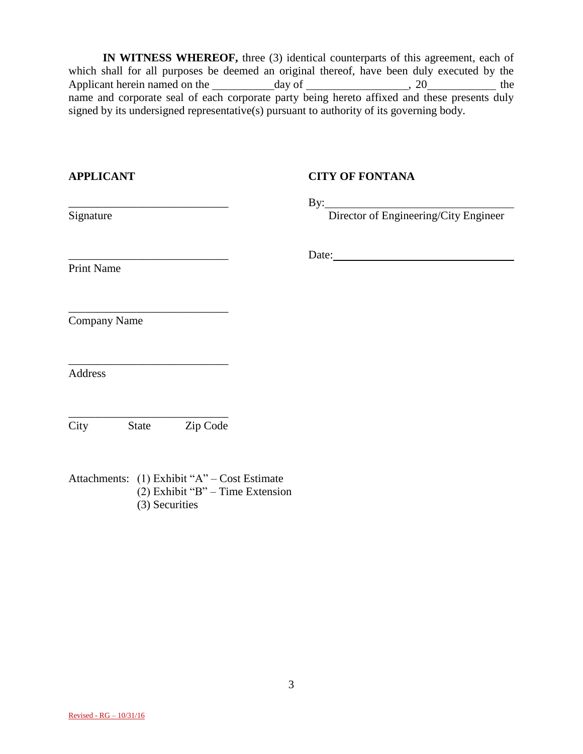**IN WITNESS WHEREOF,** three (3) identical counterparts of this agreement, each of which shall for all purposes be deemed an original thereof, have been duly executed by the Applicant herein named on the day of day of the day of the day of the dependence of  $\frac{1}{2}$  and  $\frac{1}{2}$  and  $\frac{1}{2}$  and  $\frac{1}{2}$  and  $\frac{1}{2}$  and  $\frac{1}{2}$  and  $\frac{1}{2}$  and  $\frac{1}{2}$  and  $\frac{1}{2}$  and  $\frac{1}{2}$  an name and corporate seal of each corporate party being hereto affixed and these presents duly signed by its undersigned representative(s) pursuant to authority of its governing body.

| <b>APPLICANT</b>                                                                                                                                                | <b>CITY OF FONTANA</b>                    |  |
|-----------------------------------------------------------------------------------------------------------------------------------------------------------------|-------------------------------------------|--|
| Signature                                                                                                                                                       | By: Director of Engineering/City Engineer |  |
| <b>Print Name</b>                                                                                                                                               |                                           |  |
| <u> 1989 - Johann John Stein, mars französischer Stein und der Stein und der Stein und der Stein und der Stein un</u><br><b>Company Name</b>                    |                                           |  |
| <u> 1989 - Johann John Stone, mars et al. (</u><br><b>Address</b>                                                                                               |                                           |  |
| State Zip Code<br>City                                                                                                                                          |                                           |  |
| $\lambda_{11}$ 1 $\lambda_{21}$ (1) $\lambda_{12}$ 1, 1, 1, 2, 46, 32 $\lambda_{11}$ $\lambda_{12}$ $\lambda_{13}$ $\lambda_{14}$ $\lambda_{15}$ $\lambda_{16}$ |                                           |  |

Attachments: (1) Exhibit "A" – Cost Estimate (2) Exhibit "B" – Time Extension (3) Securities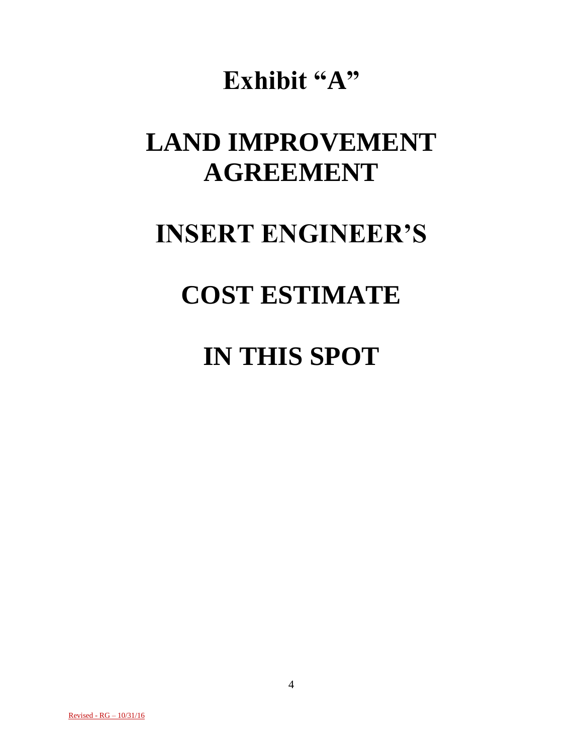## **Exhibit "A"**

# **LAND IMPROVEMENT AGREEMENT**

### **INSERT ENGINEER'S**

## **COST ESTIMATE**

### **IN THIS SPOT**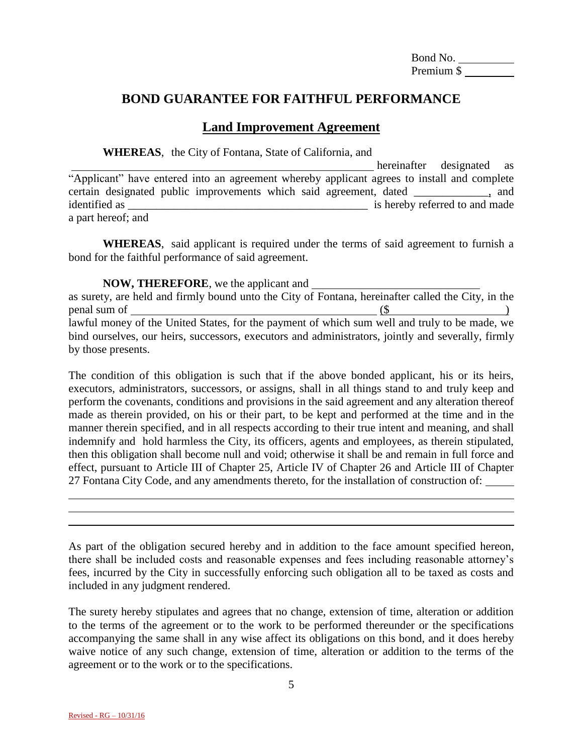Bond No. Premium \$

#### **BOND GUARANTEE FOR FAITHFUL PERFORMANCE**

#### **Land Improvement Agreement**

**WHEREAS**, the City of Fontana, State of California, and

 hereinafter designated as "Applicant" have entered into an agreement whereby applicant agrees to install and complete certain designated public improvements which said agreement, dated \_\_\_\_\_\_\_\_\_\_\_\_\_, and identified as  $\blacksquare$  is hereby referred to and made a part hereof; and

**WHEREAS**, said applicant is required under the terms of said agreement to furnish a bond for the faithful performance of said agreement.

**NOW, THEREFORE**, we the applicant and

as surety, are held and firmly bound unto the City of Fontana, hereinafter called the City, in the  $penal sum of$  (\$) lawful money of the United States, for the payment of which sum well and truly to be made, we bind ourselves, our heirs, successors, executors and administrators, jointly and severally, firmly by those presents.

The condition of this obligation is such that if the above bonded applicant, his or its heirs, executors, administrators, successors, or assigns, shall in all things stand to and truly keep and perform the covenants, conditions and provisions in the said agreement and any alteration thereof made as therein provided, on his or their part, to be kept and performed at the time and in the manner therein specified, and in all respects according to their true intent and meaning, and shall indemnify and hold harmless the City, its officers, agents and employees, as therein stipulated, then this obligation shall become null and void; otherwise it shall be and remain in full force and effect, pursuant to Article III of Chapter 25, Article IV of Chapter 26 and Article III of Chapter 27 Fontana City Code, and any amendments thereto, for the installation of construction of:

As part of the obligation secured hereby and in addition to the face amount specified hereon, there shall be included costs and reasonable expenses and fees including reasonable attorney's fees, incurred by the City in successfully enforcing such obligation all to be taxed as costs and included in any judgment rendered.

The surety hereby stipulates and agrees that no change, extension of time, alteration or addition to the terms of the agreement or to the work to be performed thereunder or the specifications accompanying the same shall in any wise affect its obligations on this bond, and it does hereby waive notice of any such change, extension of time, alteration or addition to the terms of the agreement or to the work or to the specifications.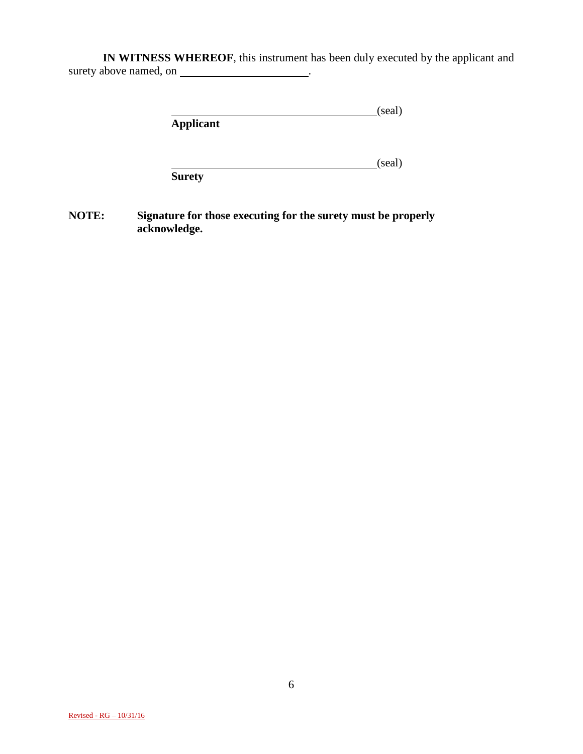**IN WITNESS WHEREOF**, this instrument has been duly executed by the applicant and surety above named, on \_\_\_\_\_\_\_\_\_\_\_\_\_\_\_\_\_\_\_\_\_\_\_.

|                  | (seal) |
|------------------|--------|
| <b>Applicant</b> |        |

example. (seal) **Surety**

**NOTE: Signature for those executing for the surety must be properly acknowledge.**